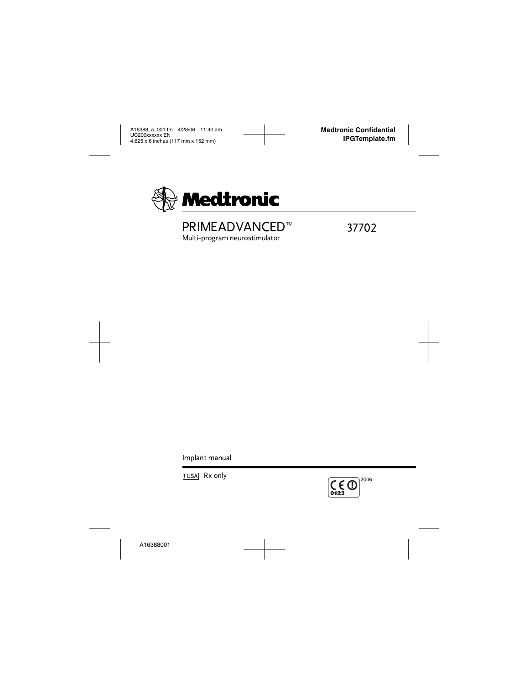

# PRIMEADVANCED™ 37702

Multi-program neurostimulator

Implant manual



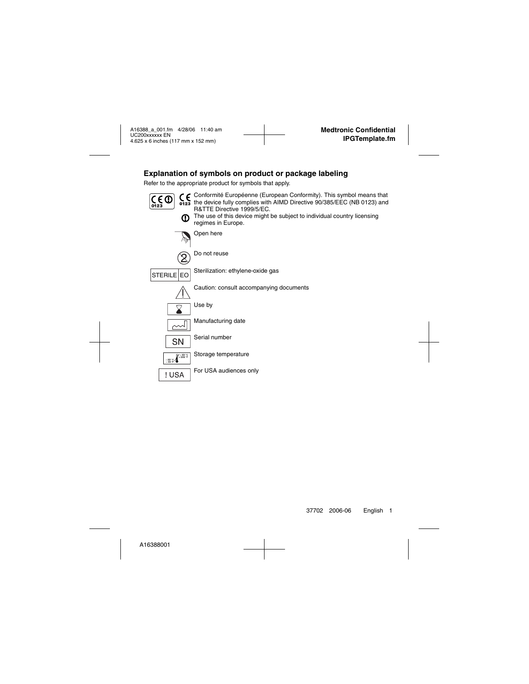# **Explanation of symbols on product or package labeling**

Refer to the appropriate product for symbols that apply.



Conformité Européenne (European Conformity). This symbol means that the device fully complies with AIMD Directive 90/385/EEC (NB 0123) and R&TTE Directive 1999/5/EC.



 $\Omega$  The use of this device might be subject to individual country licensing regimes in Europe.



Open here



Do not reuse



Sterilization: ethylene-oxide gas

Caution: consult accompanying documents



Use by



Manufacturing date



Serial number



Storage temperature



For USA audiences only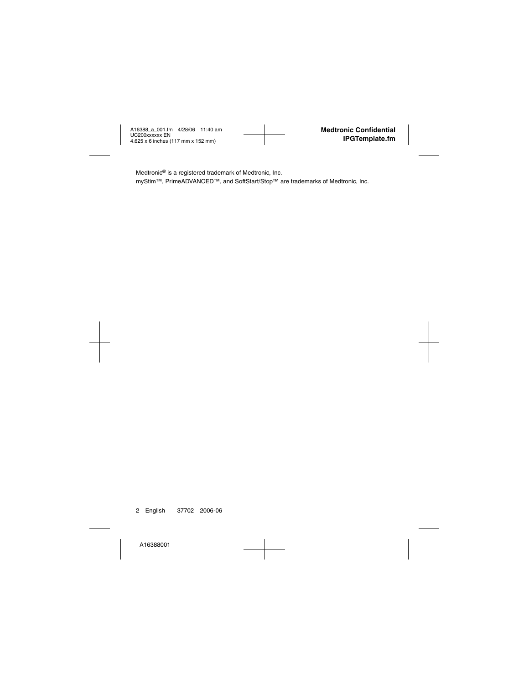Medtronic® is a registered trademark of Medtronic, Inc.

myStim™, PrimeADVANCED™, and SoftStart/Stop™ are trademarks of Medtronic, Inc.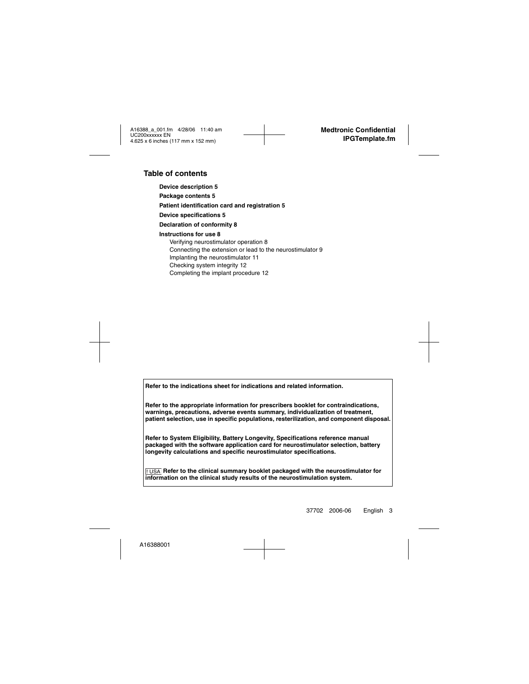### **Table of contents**

**[Device description 5](#page-6-0) [Package contents 5](#page-6-1) [Patient identification card and registration 5](#page-6-2) [Device specifications 5](#page-6-3) [Declaration of conformity 8](#page-9-0) [Instructions for use 8](#page-9-1)** [Verifying neurostimulator operation 8](#page-9-2) [Connecting the extension or lead to the neurostimulator 9](#page-10-0) [Implanting the neurostimulator 11](#page-12-0) [Checking system integrity 12](#page-13-0)

[Completing the implant procedure 12](#page-13-1)

**Refer to the indications sheet for indications and related information.**

**Refer to the appropriate information for prescribers booklet for contraindications, warnings, precautions, adverse events summary, individualization of treatment, patient selection, use in specific populations, resterilization, and component disposal.**

**Refer to System Eligibility, Battery Longevity, Specifications reference manual packaged with the software application card for neurostimulator selection, battery longevity calculations and specific neurostimulator specifications.**

 $_{\rm{||USA}}$  Refer to the clinical summary booklet packaged with the neurostimulator for **information on the clinical study results of the neurostimulation system.**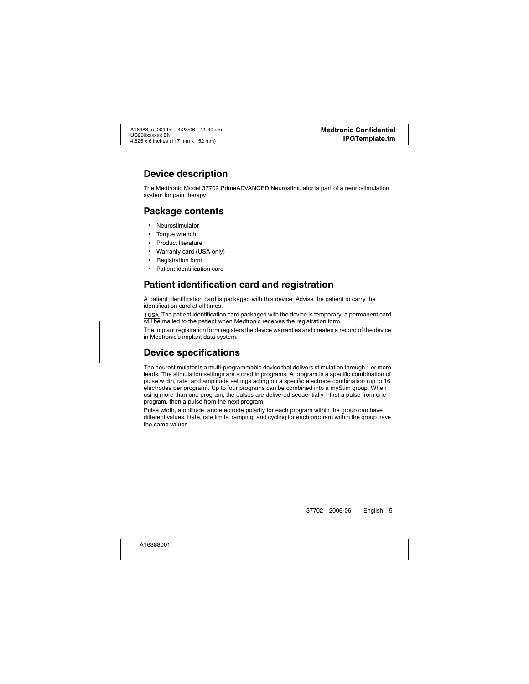# <span id="page-6-0"></span>**Device description**

The Medtronic Model 37702 PrimeADVANCED Neurostimulator is part of a neurostimulation system for pain therapy.

# <span id="page-6-1"></span>**Package contents**

- Neurostimulator
- Torque wrench
- Product literature
- Warranty card (USA only)
- Registration form
- Patient identification card

# <span id="page-6-2"></span>**Patient identification card and registration**

A patient identification card is packaged with this device. Advise the patient to carry the identification card at all times.

 $1.08$  The patient identification card packaged with the device is temporary; a permanent card will be mailed to the patient when Medtronic receives the registration form.

The implant registration form registers the device warranties and creates a record of the device in Medtronic's implant data system.

# <span id="page-6-3"></span>**Device specifications**

The neurostimulator is a multi-programmable device that delivers stimulation through 1 or more leads. The stimulation settings are stored in programs. A program is a specific combination of pulse width, rate, and amplitude settings acting on a specific electrode combination (up to 16 electrodes per program). Up to four programs can be combined into a myStim group. When using more than one program, the pulses are delivered sequentially—first a pulse from one program, then a pulse from the next program.

Pulse width, amplitude, and electrode polarity for each program within the group can have different values. Rate, rate limits, ramping, and cycling for each program within the group have the same values.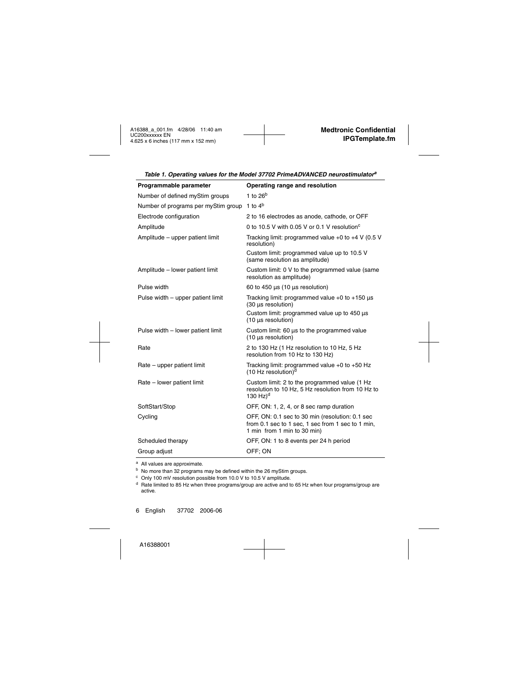| Programmable parameter                                  | Operating range and resolution                                                                                                      |  |
|---------------------------------------------------------|-------------------------------------------------------------------------------------------------------------------------------------|--|
| Number of defined myStim groups                         | 1 to $26^{\rm b}$                                                                                                                   |  |
| Number of programs per myStim group 1 to 4 <sup>b</sup> |                                                                                                                                     |  |
| Electrode configuration                                 | 2 to 16 electrodes as anode, cathode, or OFF                                                                                        |  |
| Amplitude                                               | 0 to 10.5 V with 0.05 V or 0.1 V resolution <sup>c</sup>                                                                            |  |
| Amplitude - upper patient limit                         | Tracking limit: programmed value $+0$ to $+4$ V (0.5 V<br>resolution)                                                               |  |
|                                                         | Custom limit: programmed value up to 10.5 V<br>(same resolution as amplitude)                                                       |  |
| Amplitude - lower patient limit                         | Custom limit: 0 V to the programmed value (same<br>resolution as amplitude)                                                         |  |
| Pulse width                                             | 60 to 450 $\mu$ s (10 $\mu$ s resolution)                                                                                           |  |
| Pulse width - upper patient limit                       | Tracking limit: programmed value $+0$ to $+150$ $\mu s$<br>(30 µs resolution)                                                       |  |
|                                                         | Custom limit: programmed value up to 450 µs<br>(10 µs resolution)                                                                   |  |
| Pulse width - lower patient limit                       | Custom limit: 60 µs to the programmed value<br>(10 µs resolution)                                                                   |  |
| Rate                                                    | 2 to 130 Hz (1 Hz resolution to 10 Hz, 5 Hz<br>resolution from 10 Hz to 130 Hz)                                                     |  |
| Rate – upper patient limit                              | Tracking limit: programmed value $+0$ to $+50$ Hz<br>$(10 \text{ Hz}$ resolution) <sup>d</sup>                                      |  |
| Rate - lower patient limit                              | Custom limit: 2 to the programmed value (1 Hz<br>resolution to 10 Hz, 5 Hz resolution from 10 Hz to<br>130 $Hz$ <sup>d</sup>        |  |
| SoftStart/Stop                                          | OFF, ON: 1, 2, 4, or 8 sec ramp duration                                                                                            |  |
| Cycling                                                 | OFF, ON: 0.1 sec to 30 min (resolution: 0.1 sec<br>from 0.1 sec to 1 sec, 1 sec from 1 sec to 1 min,<br>1 min from 1 min to 30 min) |  |
| Scheduled therapy                                       | OFF, ON: 1 to 8 events per 24 h period                                                                                              |  |
| Group adjust                                            | OFF: ON                                                                                                                             |  |

<span id="page-7-0"></span>*Table 1. Operating values for the Model 37702 PrimeADVANCED neurostimulatora*

<span id="page-7-1"></span><sup>a</sup> All values are approximate.

<sup>b</sup> No more than 32 programs may be defined within the 26 myStim groups.

<sup>c</sup> Only 100 mV resolution possible from 10.0 V to 10.5 V amplitude.

<sup>d</sup> Rate limited to 85 Hz when three programs/group are active and to 65 Hz when four programs/group are active.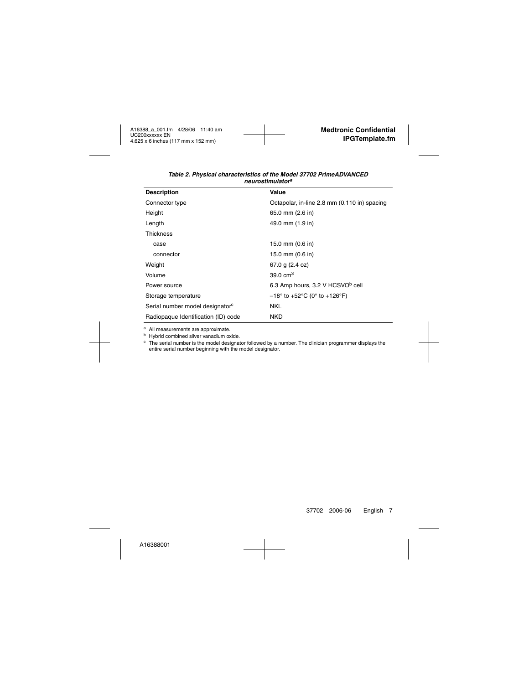| <b>Description</b>                          | Value                                                                 |  |
|---------------------------------------------|-----------------------------------------------------------------------|--|
| Connector type                              | Octapolar, in-line 2.8 mm (0.110 in) spacing                          |  |
| Height                                      | 65.0 mm (2.6 in)                                                      |  |
| Length                                      | 49.0 mm (1.9 in)                                                      |  |
| <b>Thickness</b>                            |                                                                       |  |
| case                                        | 15.0 mm (0.6 in)                                                      |  |
| connector                                   | 15.0 mm (0.6 in)                                                      |  |
| Weight                                      | 67.0 g $(2.4 oz)$                                                     |  |
| Volume                                      | 39.0 $cm3$                                                            |  |
| Power source                                | 6.3 Amp hours, 3.2 V HCSVO <sup>b</sup> cell                          |  |
| Storage temperature                         | $-18^{\circ}$ to +52 $^{\circ}$ C (0 $^{\circ}$ to +126 $^{\circ}$ F) |  |
| Serial number model designator <sup>c</sup> | <b>NKL</b>                                                            |  |
| Radiopaque Identification (ID) code         | <b>NKD</b>                                                            |  |

#### *Table 2. Physical characteristics of the Model 37702 PrimeADVANCED neurostimulator<sup>a</sup>*

a All measurements are approximate.

**b** Hybrid combined silver vanadium oxide.

<sup>c</sup> The serial number is the model designator followed by a number. The clinician programmer displays the entire serial number beginning with the model designator.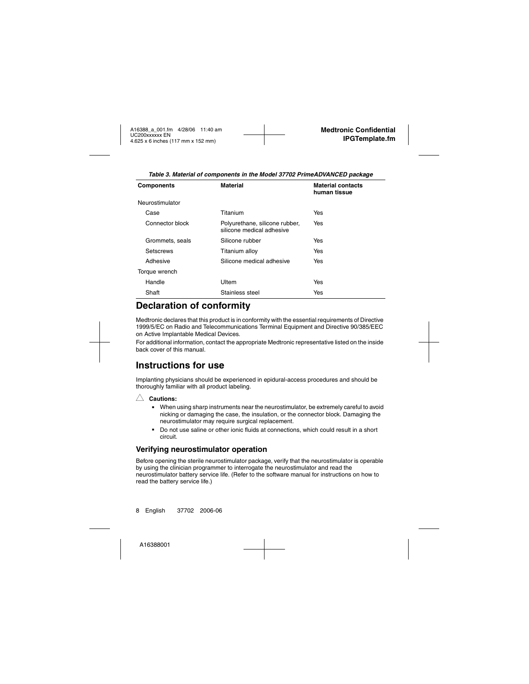| <b>Components</b> | <b>Material</b>                                             | <b>Material contacts</b><br>human tissue |
|-------------------|-------------------------------------------------------------|------------------------------------------|
| Neurostimulator   |                                                             |                                          |
| Case              | Titanium                                                    | Yes                                      |
| Connector block   | Polyurethane, silicone rubber,<br>silicone medical adhesive | Yes                                      |
| Grommets, seals   | Silicone rubber                                             | Yes                                      |
| Setscrews         | Titanium alloy                                              | Yes                                      |
| Adhesive          | Silicone medical adhesive                                   | Yes                                      |
| Torque wrench     |                                                             |                                          |
| Handle            | Ultem                                                       | Yes                                      |
| Shaft             | Stainless steel                                             | Yes                                      |
|                   |                                                             |                                          |

*Table 3. Material of components in the Model 37702 PrimeADVANCED package*

# <span id="page-9-0"></span>**Declaration of conformity**

Medtronic declares that this product is in conformity with the essential requirements of Directive 1999/5/EC on Radio and Telecommunications Terminal Equipment and Directive 90/385/EEC on Active Implantable Medical Devices.

For additional information, contact the appropriate Medtronic representative listed on the inside back cover of this manual.

# <span id="page-9-1"></span>**Instructions for use**

Implanting physicians should be experienced in epidural-access procedures and should be thoroughly familiar with all product labeling.

### $\wedge$  **Cautions:**

- When using sharp instruments near the neurostimulator, be extremely careful to avoid nicking or damaging the case, the insulation, or the connector block. Damaging the neurostimulator may require surgical replacement.
- Do not use saline or other ionic fluids at connections, which could result in a short circuit.

### <span id="page-9-2"></span>**Verifying neurostimulator operation**

Before opening the sterile neurostimulator package, verify that the neurostimulator is operable by using the clinician programmer to interrogate the neurostimulator and read the neurostimulator battery service life. (Refer to the software manual for instructions on how to read the battery service life.)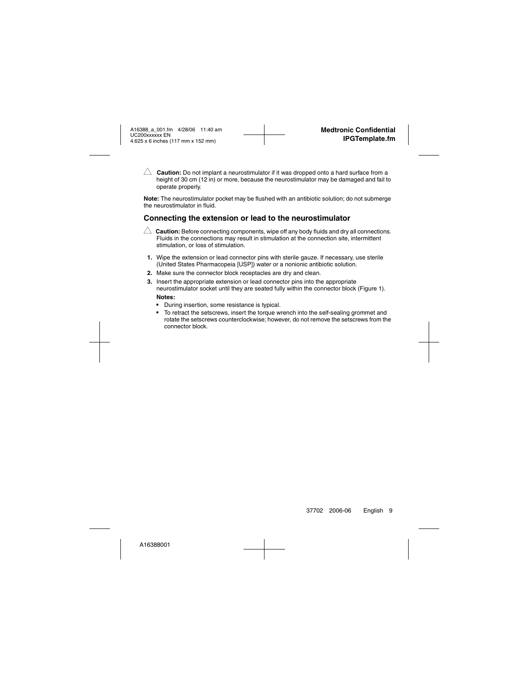$\triangle$  **Caution:** Do not implant a neurostimulator if it was dropped onto a hard surface from a height of 30 cm (12 in) or more, because the neurostimulator may be damaged and fail to operate properly.

**Note:** The neurostimulator pocket may be flushed with an antibiotic solution; do not submerge the neurostimulator in fluid.

### <span id="page-10-0"></span>**Connecting the extension or lead to the neurostimulator**

 $\triangle$  **Caution:** Before connecting components, wipe off any body fluids and dry all connections. Fluids in the connections may result in stimulation at the connection site, intermittent stimulation, or loss of stimulation.

- **1.** Wipe the extension or lead connector pins with sterile gauze. If necessary, use sterile (United States Pharmacopeia [USP]) water or a nonionic antibiotic solution.
- **2.** Make sure the connector block receptacles are dry and clean.
- **3.** Insert the appropriate extension or lead connector pins into the appropriate neurostimulator socket until they are seated fully within the connector block ([Figure 1](#page-11-0)). **Notes:**
	- During insertion, some resistance is typical.
	- To retract the setscrews, insert the torque wrench into the self-sealing grommet and rotate the setscrews counterclockwise; however, do not remove the setscrews from the connector block.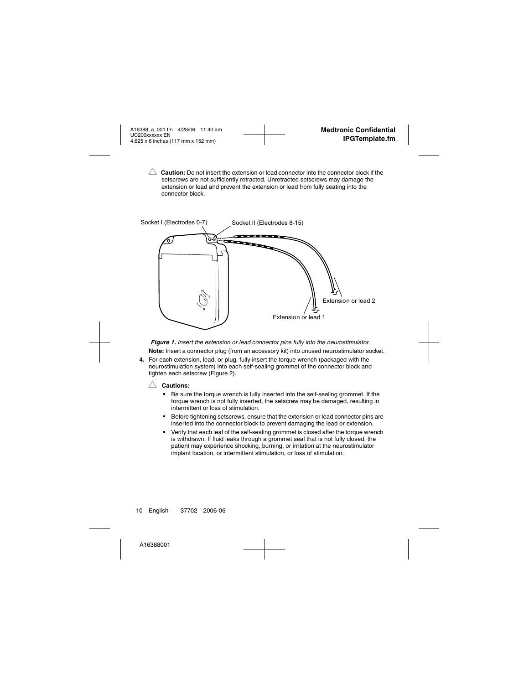**Caution:** Do not insert the extension or lead connector into the connector block if the setscrews are not sufficiently retracted. Unretracted setscrews may damage the extension or lead and prevent the extension or lead from fully seating into the connector block.



<span id="page-11-0"></span>*Figure 1. Insert the extension or lead connector pins fully into the neurostimulator.* **Note:** Insert a connector plug (from an accessory kit) into unused neurostimulator socket.

**4.** For each extension, lead, or plug, fully insert the torque wrench (packaged with the neurostimulation system) into each self-sealing grommet of the connector block and tighten each setscrew ([Figure 2\)](#page-12-1).

#### $\wedge$  **Cautions:**

- Be sure the torque wrench is fully inserted into the self-sealing grommet. If the torque wrench is not fully inserted, the setscrew may be damaged, resulting in intermittent or loss of stimulation.
- Before tightening setscrews, ensure that the extension or lead connector pins are inserted into the connector block to prevent damaging the lead or extension.
- Verify that each leaf of the self-sealing grommet is closed after the torque wrench is withdrawn. If fluid leaks through a grommet seal that is not fully closed, the patient may experience shocking, burning, or irritation at the neurostimulator implant location, or intermittent stimulation, or loss of stimulation.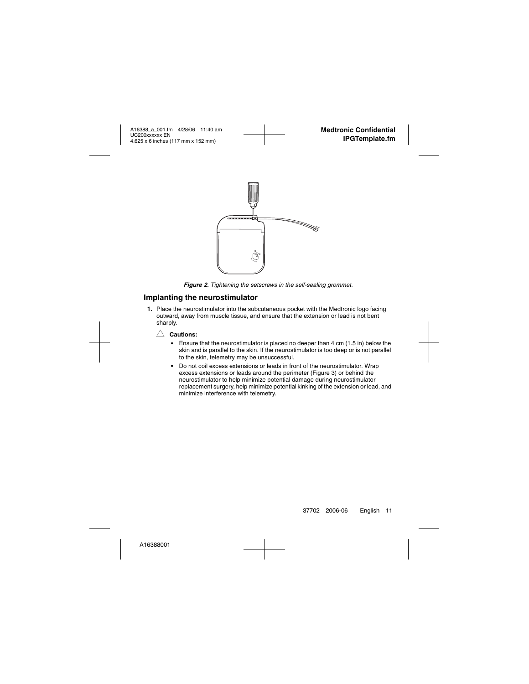

*Figure 2. Tightening the setscrews in the self-sealing grommet.*

### <span id="page-12-1"></span><span id="page-12-0"></span>**Implanting the neurostimulator**

**1.** Place the neurostimulator into the subcutaneous pocket with the Medtronic logo facing outward, away from muscle tissue, and ensure that the extension or lead is not bent sharply.



- Ensure that the neurostimulator is placed no deeper than 4 cm (1.5 in) below the skin and is parallel to the skin. If the neurostimulator is too deep or is not parallel to the skin, telemetry may be unsuccessful.
- Do not coil excess extensions or leads in front of the neurostimulator. Wrap excess extensions or leads around the perimeter ([Figure 3\)](#page-13-2) or behind the neurostimulator to help minimize potential damage during neurostimulator replacement surgery, help minimize potential kinking of the extension or lead, and minimize interference with telemetry.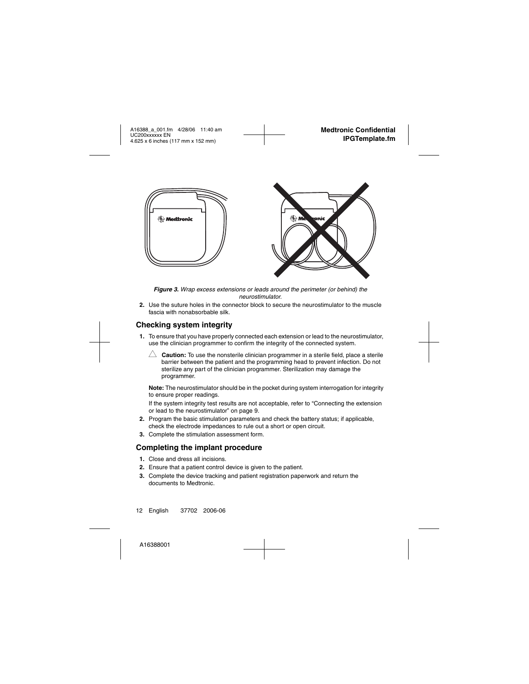

*Figure 3. Wrap excess extensions or leads around the perimeter (or behind) the neurostimulator.*

<span id="page-13-2"></span>**2.** Use the suture holes in the connector block to secure the neurostimulator to the muscle fascia with nonabsorbable silk.

## <span id="page-13-0"></span>**Checking system integrity**

- **1.** To ensure that you have properly connected each extension or lead to the neurostimulator, use the clinician programmer to confirm the integrity of the connected system.
	- $\triangle~$  **Caution:** To use the nonsterile clinician programmer in a sterile field, place a sterile barrier between the patient and the programming head to prevent infection. Do not sterilize any part of the clinician programmer. Sterilization may damage the programmer.

**Note:** The neurostimulator should be in the pocket during system interrogation for integrity to ensure proper readings.

If the system integrity test results are not acceptable, refer to ["Connecting the extension](#page-10-0)  [or lead to the neurostimulator" on page 9](#page-10-0).

- **2.** Program the basic stimulation parameters and check the battery status; if applicable, check the electrode impedances to rule out a short or open circuit.
- **3.** Complete the stimulation assessment form.

### <span id="page-13-1"></span>**Completing the implant procedure**

- **1.** Close and dress all incisions.
- **2.** Ensure that a patient control device is given to the patient.
- **3.** Complete the device tracking and patient registration paperwork and return the documents to Medtronic.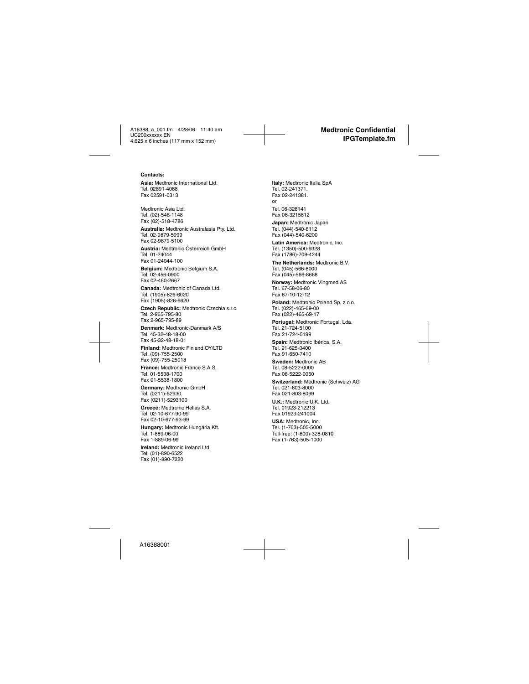#### **Contacts:**

Asia: Medtronic International Ltd. Tel. 02891-4068 Fax 02591-0313

Medtronic Asia Ltd. Tel. (02)-548-1148 Fax (02)-518-4786

**Australia:** Medtronic Australasia Pty. Ltd. Tel. 02-9879-5999 Fax 02-9879-5100

**Austria:** Medtronic Österreich GmbH Tel. 01-24044 Fax 01-24044-100

**Belgium:** Medtronic Belgium S.A. Tel. 02-456-0900 Fax 02-460-2667

**Canada:** Medtronic of Canada Ltd. Tel. (1905)-826-6020 Fax (1905)-826-6620

**Czech Republic:** Medtronic Czechia s.r.o. Tel. 2-965-795-80 Fax 2-965-795-89

**Denmark:** Medtronic-Danmark A/S Tel. 45-32-48-18-00 Fax 45-32-48-18-01

**Finland:** Medtronic Finland OY/LTD Tel. (09)-755-2500 Fax (09)-755-25018

**France:** Medtronic France S.A.S. Tel. 01-5538-1700 Fax 01-5538-1800

**Germany:** Medtronic GmbH Tel. (0211)-52930 Fax (0211)-5293100

**Greece:** Medtronic Hellas S.A. Tel. 02-10-677-90-99 Fax 02-10-677-93-99

**Hungary:** Medtronic Hungária Kft. Tel. 1-889-06-00 Fax 1-889-06-99

**Ireland:** Medtronic Ireland Ltd. Tel. (01)-890-6522 Fax (01)-890-7220

**Italy:** Medtronic Italia SpA Tel. 02-241371. Fax 02-241381. or Tel. 06-328141 Fax 06-3215812

**Japan:** Medtronic Japan Tel. (044)-540-6112 Fax (044)-540-6200

**Latin America:** Medtronic, Inc. Tel. (1350)-500-9328 Fax (1786)-709-4244

**The Netherlands:** Medtronic B.V. Tel. (045)-566-8000 Fax (045)-566-8668

**Norway:** Medtronic Vingmed AS Tel. 67-58-06-80 Fax 67-10-12-12

**Poland:** Medtronic Poland Sp. z.o.o. Tel. (022)-465-69-00 Fax (022)-465-69-17

**Portugal:** Medtronic Portugal, Lda. Tel. 21-724-5100 Fax 21-724-5199

**Spain:** Medtronic Ibérica, S.A. Tel. 91-625-0400 Fax 91-650-7410

**Sweden:** Medtronic AB Tel. 08-5222-0000 Fax 08-5222-0050

**Switzerland:** Medtronic (Schweiz) AG Tel. 021-803-8000 Fax 021-803-8099

**U.K.:** Medtronic U.K. Ltd. Tel. 01923-212213 Fax 01923-241004

**USA:** Medtronic, Inc. Tel. (1-763)-505-5000 Toll-free: (1-800)-328-0810 Fax (1-763)-505-1000